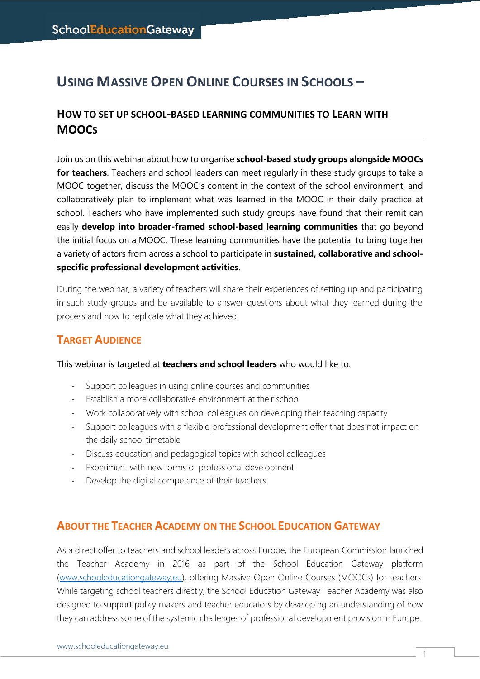# **USING MASSIVE OPEN ONLINE COURSES IN SCHOOLS –**

## **HOW TO SET UP SCHOOL-BASED LEARNING COMMUNITIES TO LEARN WITH MOOCS**

Join us on this webinar about how to organise **school-based study groups alongside MOOCs for teachers**. Teachers and school leaders can meet regularly in these study groups to take a MOOC together, discuss the MOOC's content in the context of the school environment, and collaboratively plan to implement what was learned in the MOOC in their daily practice at school. Teachers who have implemented such study groups have found that their remit can easily **develop into broader-framed school-based learning communities** that go beyond the initial focus on a MOOC. These learning communities have the potential to bring together a variety of actors from across a school to participate in **sustained, collaborative and schoolspecific professional development activities**.

During the webinar, a variety of teachers will share their experiences of setting up and participating in such study groups and be available to answer questions about what they learned during the process and how to replicate what they achieved.

### **TARGET AUDIENCE**

#### This webinar is targeted at **teachers and school leaders** who would like to:

- Support colleagues in using online courses and communities
- Establish a more collaborative environment at their school
- Work collaboratively with school colleagues on developing their teaching capacity
- Support colleagues with a flexible professional development offer that does not impact on the daily school timetable
- Discuss education and pedagogical topics with school colleagues
- Experiment with new forms of professional development
- Develop the digital competence of their teachers

### **ABOUT THE TEACHER ACADEMY ON THE SCHOOL EDUCATION GATEWAY**

As a direct offer to teachers and school leaders across Europe, the European Commission launched the Teacher Academy in 2016 as part of the School Education Gateway platform [\(www.schooleducationgateway.eu\)](http://www.schooleducationgateway.eu/), offering Massive Open Online Courses (MOOCs) for teachers. While targeting school teachers directly, the School Education Gateway Teacher Academy was also designed to support policy makers and teacher educators by developing an understanding of how they can address some of the systemic challenges of professional development provision in Europe.